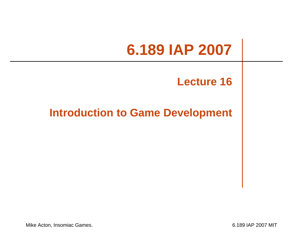#### **6.189 IAP 2007**

#### **Lecture 16**

#### **Introduction to Game Development**

Mike Acton, Insomiac Games. **6.189 IAP 2007 MIT**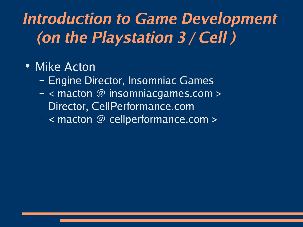### **Introduction to Game Development (on the Playstation 3 / Cell )**

#### • Mike Acton

- Engine Director, Insomniac Games
- < macton @ insomniacgames.com >
- Director, CellPerformance.com
- < macton @ cellperformance.com >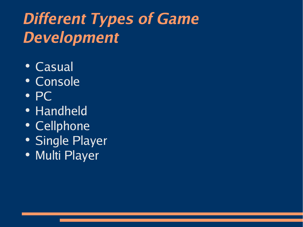## **Different Types of Game Development**

- Casual
- Console
- PC
- Handheld
- Cellphone
- Single Player
- Multi Player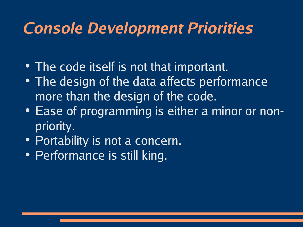#### **Console Development Priorities**

- The code itself is not that important.
- The design of the data affects performance more than the design of the code.
- Ease of programming is either a minor or nonpriority.
- Portability is not a concern.
- Performance is still king.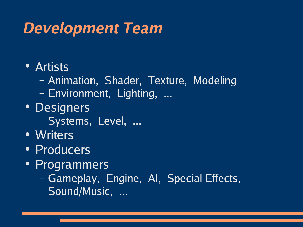#### **Development Team**

- Artists
	- Animation, Shader, Texture, Modeling
	- Environment, Lighting, ...
- Designers
	- Systems, Level, ...
- Writers
- Producers
- Programmers
	- Gameplay, Engine, AI, Special Effects,
	- Sound/Music, ...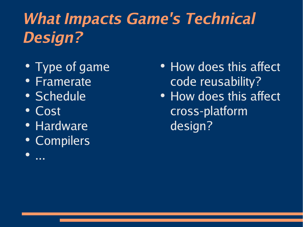# **What Impacts Game's Technical Design?**

- Type of game
- Framerate
- Schedule
- Cost

...

●

- Hardware
- Compilers
- How does this affect code reusability?
- How does this affect cross-platform design?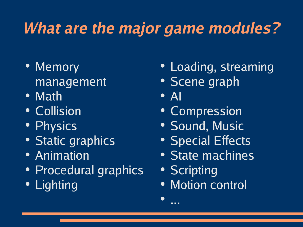## **What are the major game modules?**

- Memory management
- Math
- Collision
- Physics
- Static graphics
- Animation
- Procedural graphics
- Lighting
- Loading, streaming
- Scene graph
- $\bullet$  Al

●

...

- Compression
- Sound, Music
- Special Effects
- State machines
- Scripting
- Motion control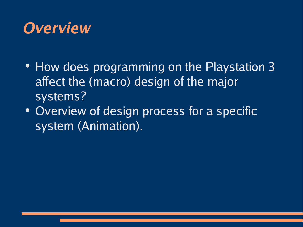#### **Overview**

- How does programming on the Playstation 3 affect the (macro) design of the major systems?
- Overview of design process for a specific system (Animation).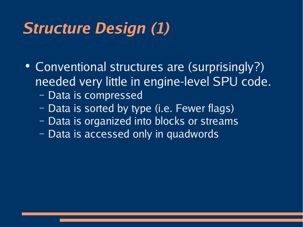#### **Structure Design (1)**

- Conventional structures are (surprisingly?) needed very little in engine-level SPU code.
	- Data is compressed
	- Data is sorted by type (i.e. Fewer flags)
	- Data is organized into blocks or streams
	- Data is accessed only in quadwords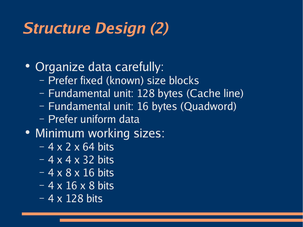### **Structure Design (2)**

• Organize data carefully:

- Prefer fixed (known) size blocks
- Fundamental unit: 128 bytes (Cache line)
- Fundamental unit: 16 bytes (Quadword)
- Prefer uniform data
- Minimum working sizes:
	- $-4 \times 2 \times 64$  bits
	- $-4 \times 4 \times 32$  bits
	- $-4 \times 8 \times 16$  bits
	- 4 x 16 x 8 bits
	- 4 x 128 bits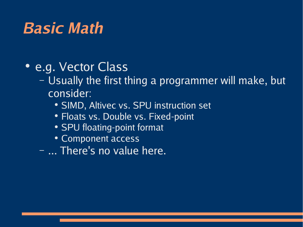#### **Basic Math**

- e.g. Vector Class
	- Usually the first thing a programmer will make, but consider:
		- SIMD, Altivec vs. SPU instruction set
		- Floats vs. Double vs. Fixed-point
		- SPU floating-point format
		- Component access
	- ... There's no value here.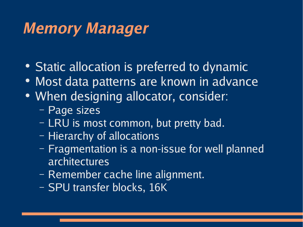#### **Memory Manager**

- Static allocation is preferred to dynamic
- Most data patterns are known in advance
- When designing allocator, consider:
	- Page sizes
	- LRU is most common, but pretty bad.
	- Hierarchy of allocations
	- Fragmentation is a non-issue for well planned architectures
	- Remember cache line alignment.
	- SPU transfer blocks, 16K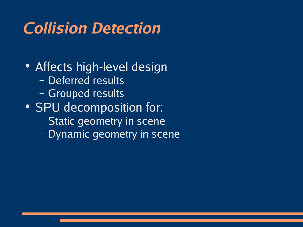### **Collision Detection**

• Affects high-level design – Deferred results – Grouped results • SPU decomposition for: – Static geometry in scene

– Dynamic geometry in scene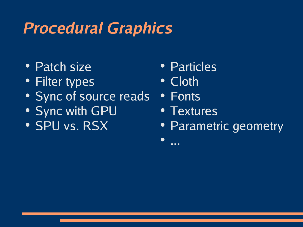### **Procedural Graphics**

- Patch size
- Filter types
- Sync of source reads
- Sync with GPU
- SPU vs. RSX
- Particles
- Cloth
- Fonts

●

...

- Textures
- Parametric geometry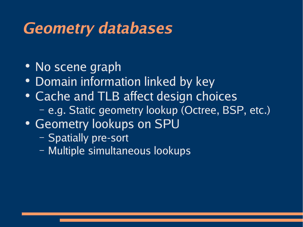#### **Geometry databases**

- No scene graph
- Domain information linked by key
- Cache and TLB affect design choices – e.g. Static geometry lookup (Octree, BSP, etc.)
- Geometry lookups on SPU
	- Spatially pre-sort
	- Multiple simultaneous lookups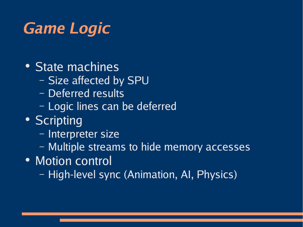### **Game Logic**

- State machines
	- Size affected by SPU
	- Deferred results
	- Logic lines can be deferred
- Scripting
	- Interpreter size
	- Multiple streams to hide memory accesses
- Motion control
	- High-level sync (Animation, AI, Physics)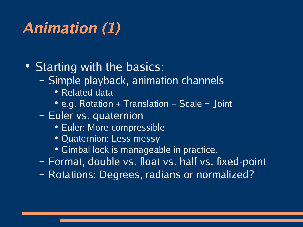## **Animation (1)**

• Starting with the basics:

- Simple playback, animation channels
	- Related data
	- e.g. Rotation + Translation + Scale = Joint
- Euler vs. quaternion
	- Euler: More compressible
	- Quaternion: Less messy
	- Gimbal lock is manageable in practice.
- Format, double vs. float vs. half vs. fixed-point
- Rotations: Degrees, radians or normalized?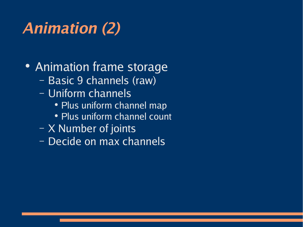# **Animation (2)**

#### • Animation frame storage

- Basic 9 channels (raw)
- Uniform channels
	- Plus uniform channel map
	- Plus uniform channel count
- X Number of joints
- Decide on max channels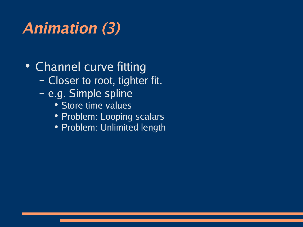## **Animation (3)**

• Channel curve fitting

- Closer to root, tighter fit.
- e.g. Simple spline
	- Store time values
	- Problem: Looping scalars
	- Problem: Unlimited length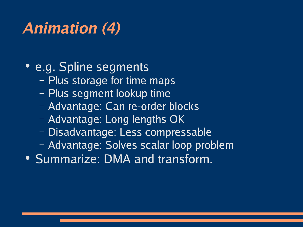## **Animation (4)**

#### • e.g. Spline segments

- Plus storage for time maps
- Plus segment lookup time
- Advantage: Can re-order blocks
- Advantage: Long lengths OK
- Disadvantage: Less compressable
- Advantage: Solves scalar loop problem
- Summarize: DMA and transform.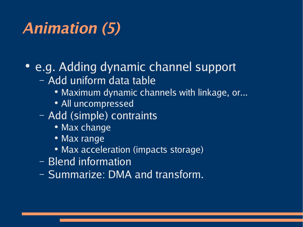## **Animation (5)**

#### • e.g. Adding dynamic channel support

- Add uniform data table
	- Maximum dynamic channels with linkage, or...
	- All uncompressed
- Add (simple) contraints
	- Max change
	- Max range
	- Max acceleration (impacts storage)
- Blend information
- Summarize: DMA and transform.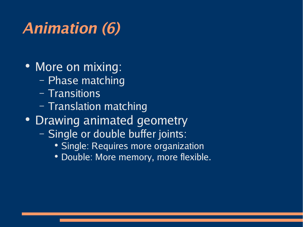# **Animation (6)**

- More on mixing:
	- Phase matching
	- Transitions
	- Translation matching
- Drawing animated geometry
	- Single or double buffer joints:
		- Single: Requires more organization
		- Double: More memory, more flexible.